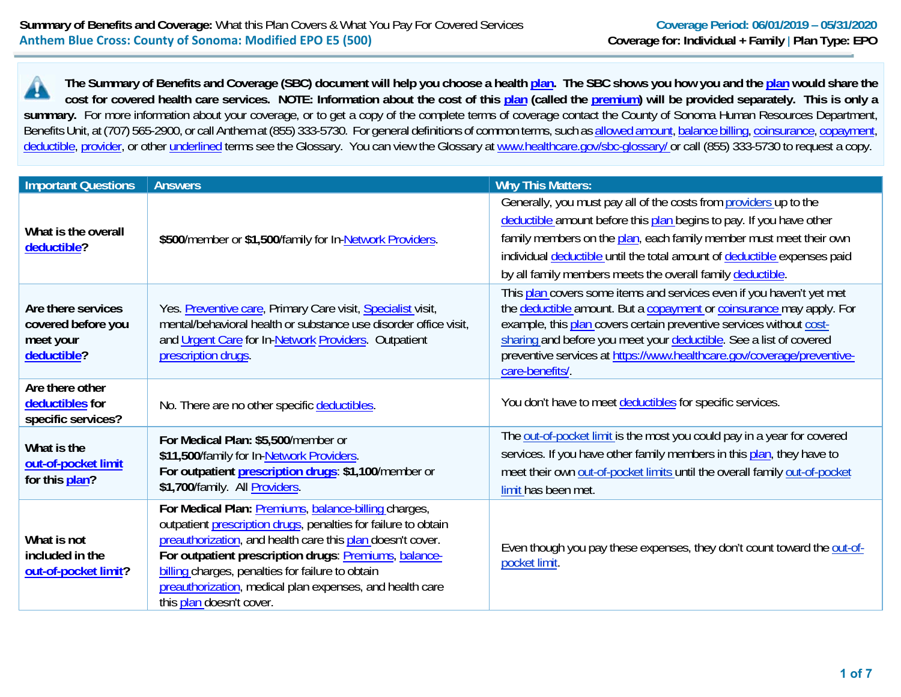**The Summary of Benefits and Coverage (SBC) document will help you choose a health plan. The SBC shows you how you and the plan would share the cost for covered health care services. NOTE: Information about the cost of this plan (called the premium) will be provided separately. This is only a**  summary. For more information about your coverage, or to get a copy of the complete terms of coverage contact the County of Sonoma Human Resources Department, Benefits Unit, at (707) 565-2900, or call Anthem at (855) 333-5730. For general definitions of common terms, such as allowed amount, balance billing, coinsurance, copayment, deductible, provider, or other underlined terms see the Glossary. You can view the Glossary at www.healthcare.gov/sbc-glossary/ or call (855) 333-5730 to request a copy.

| <b>Important Questions</b>                                           | <b>Answers</b>                                                                                                                                                                                                                                                                                                                                                                            | <b>Why This Matters:</b>                                                                                                                                                                                                                                                                                                                                                               |
|----------------------------------------------------------------------|-------------------------------------------------------------------------------------------------------------------------------------------------------------------------------------------------------------------------------------------------------------------------------------------------------------------------------------------------------------------------------------------|----------------------------------------------------------------------------------------------------------------------------------------------------------------------------------------------------------------------------------------------------------------------------------------------------------------------------------------------------------------------------------------|
| What is the overall<br>deductible?                                   | \$500/member or \$1,500/family for In-Network Providers.                                                                                                                                                                                                                                                                                                                                  | Generally, you must pay all of the costs from providers up to the<br>deductible amount before this plan begins to pay. If you have other<br>family members on the plan, each family member must meet their own<br>individual deductible until the total amount of deductible expenses paid<br>by all family members meets the overall family deductible.                               |
| Are there services<br>covered before you<br>meet your<br>deductible? | Yes. Preventive care, Primary Care visit, Specialist visit,<br>mental/behavioral health or substance use disorder office visit,<br>and Urgent Care for In-Network Providers. Outpatient<br>prescription drugs.                                                                                                                                                                            | This plan covers some items and services even if you haven't yet met<br>the deductible amount. But a copayment or coinsurance may apply. For<br>example, this plan covers certain preventive services without cost-<br>sharing and before you meet your deductible. See a list of covered<br>preventive services at https://www.healthcare.gov/coverage/preventive-<br>care-benefits/. |
| Are there other<br>deductibles for<br>specific services?             | No. There are no other specific deductibles.                                                                                                                                                                                                                                                                                                                                              | You don't have to meet deductibles for specific services.                                                                                                                                                                                                                                                                                                                              |
| What is the<br>out-of-pocket limit<br>for this plan?                 | For Medical Plan: \$5,500/member or<br>\$11,500/family for In-Network Providers.<br>For outpatient prescription drugs: \$1,100/member or<br>\$1,700/family. All Providers.                                                                                                                                                                                                                | The out-of-pocket limit is the most you could pay in a year for covered<br>services. If you have other family members in this plan, they have to<br>meet their own out-of-pocket limits until the overall family out-of-pocket<br>limit has been met.                                                                                                                                  |
| What is not<br>included in the<br>out-of-pocket limit?               | For Medical Plan: Premiums, balance-billing charges,<br>outpatient prescription drugs, penalties for failure to obtain<br>preauthorization, and health care this plan doesn't cover.<br>For outpatient prescription drugs: Premiums, balance-<br>billing charges, penalties for failure to obtain<br>preauthorization, medical plan expenses, and health care<br>this plan doesn't cover. | Even though you pay these expenses, they don't count toward the out-of-<br>pocket limit.                                                                                                                                                                                                                                                                                               |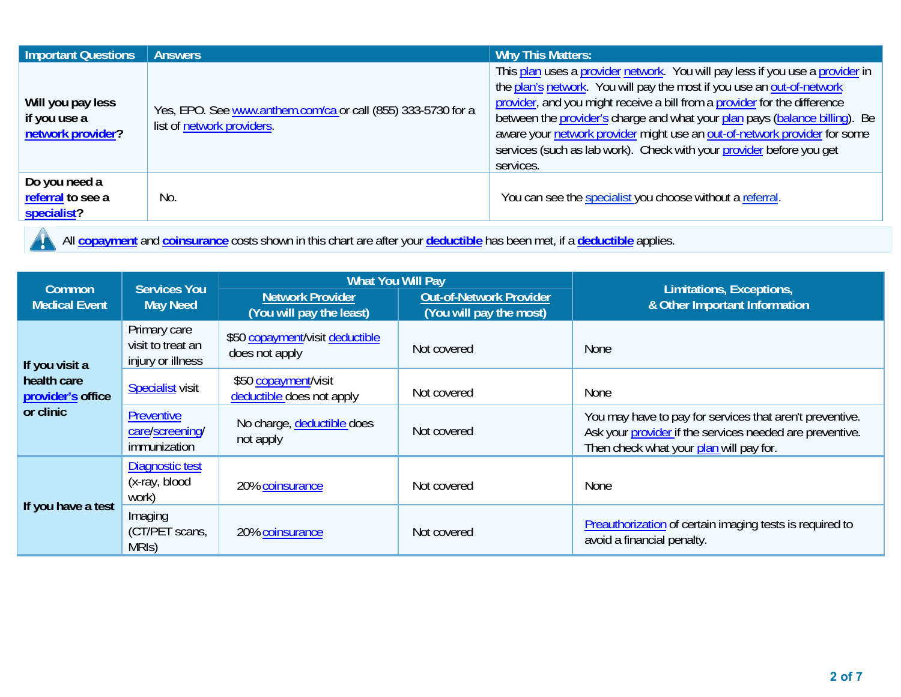| <b>Important Questions</b>                             | <b>Answers</b>                                                                             | <b>Why This Matters:</b>                                                                                                                                                                                                                                                                                                                                                                                                                                                              |
|--------------------------------------------------------|--------------------------------------------------------------------------------------------|---------------------------------------------------------------------------------------------------------------------------------------------------------------------------------------------------------------------------------------------------------------------------------------------------------------------------------------------------------------------------------------------------------------------------------------------------------------------------------------|
| Will you pay less<br>if you use a<br>network provider? | Yes, EPO. See www.anthem.com/ca or call (855) 333-5730 for a<br>list of network providers. | This plan uses a provider network. You will pay less if you use a provider in<br>the plan's network. You will pay the most if you use an out-of-network<br>provider, and you might receive a bill from a provider for the difference<br>between the provider's charge and what your plan pays (balance billing). Be<br>aware your network provider might use an out-of-network provider for some<br>services (such as lab work). Check with your provider before you get<br>services. |
| Do you need a<br>referral to see a<br>specialist?      | No.                                                                                        | You can see the specialist you choose without a referral.                                                                                                                                                                                                                                                                                                                                                                                                                             |

All **copayment** and **coinsurance** costs shown in this chart are after your **deductible** has been met, if a **deductible** applies.  $\mathbf{y}$ 

| Common                           | <b>Services You</b>                                                                                                                 | <b>What You Will Pay</b>                          |                               | Limitations, Exceptions,                                                                                                                                        |  |
|----------------------------------|-------------------------------------------------------------------------------------------------------------------------------------|---------------------------------------------------|-------------------------------|-----------------------------------------------------------------------------------------------------------------------------------------------------------------|--|
| <b>Medical Event</b>             | <b>Out-of-Network Provider</b><br><b>Network Provider</b><br><b>May Need</b><br>(You will pay the least)<br>(You will pay the most) |                                                   | & Other Important Information |                                                                                                                                                                 |  |
| If you visit a                   | Primary care<br>visit to treat an<br>injury or illness                                                                              | \$50 copayment/visit deductible<br>does not apply | Not covered                   | <b>None</b>                                                                                                                                                     |  |
| health care<br>provider's office | <b>Specialist</b> visit                                                                                                             | \$50 copayment/visit<br>deductible does not apply | Not covered                   | None                                                                                                                                                            |  |
| or clinic                        | <b>Preventive</b><br>care/screening/<br>immunization                                                                                | No charge, deductible does<br>not apply           | Not covered                   | You may have to pay for services that aren't preventive.<br>Ask your provider if the services needed are preventive.<br>Then check what your plan will pay for. |  |
|                                  | Diagnostic test<br>(x-ray, blood<br>work)                                                                                           | 20% coinsurance                                   | Not covered                   | None                                                                                                                                                            |  |
| If you have a test               | Imaging<br>(CT/PET scans,<br>MRIS)                                                                                                  | 20% coinsurance                                   | Not covered                   | <b>Preauthorization</b> of certain imaging tests is required to<br>avoid a financial penalty.                                                                   |  |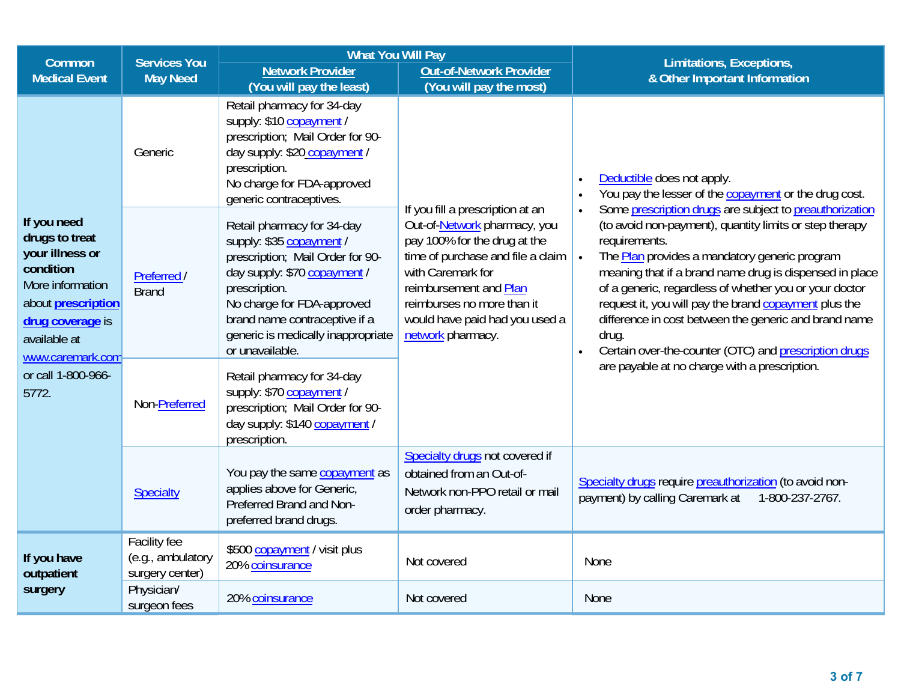| Common                                                                                                                                                                 | <b>Services You</b>                                  | <b>What You Will Pay</b>                                                                                                                                                                                                                                            |                                                                                                                                                                                                                                                                           | Limitations, Exceptions,                                                                                                                                                                                                                                                                                                                                                                                                                                                                                                       |  |
|------------------------------------------------------------------------------------------------------------------------------------------------------------------------|------------------------------------------------------|---------------------------------------------------------------------------------------------------------------------------------------------------------------------------------------------------------------------------------------------------------------------|---------------------------------------------------------------------------------------------------------------------------------------------------------------------------------------------------------------------------------------------------------------------------|--------------------------------------------------------------------------------------------------------------------------------------------------------------------------------------------------------------------------------------------------------------------------------------------------------------------------------------------------------------------------------------------------------------------------------------------------------------------------------------------------------------------------------|--|
| <b>Medical Event</b>                                                                                                                                                   | <b>May Need</b>                                      | <b>Network Provider</b>                                                                                                                                                                                                                                             | <b>Out-of-Network Provider</b>                                                                                                                                                                                                                                            | & Other Important Information                                                                                                                                                                                                                                                                                                                                                                                                                                                                                                  |  |
|                                                                                                                                                                        | Generic                                              | (You will pay the least)<br>Retail pharmacy for 34-day<br>supply: \$10 copayment<br>prescription; Mail Order for 90-<br>day supply: \$20 copayment /<br>prescription.<br>No charge for FDA-approved<br>generic contraceptives.                                      | (You will pay the most)                                                                                                                                                                                                                                                   | Deductible does not apply.<br>$\bullet$<br>You pay the lesser of the copayment or the drug cost.<br>$\bullet$                                                                                                                                                                                                                                                                                                                                                                                                                  |  |
| If you need<br>drugs to treat<br>your illness or<br>condition<br>More information<br>about <b>prescription</b><br>drug coverage is<br>available at<br>www.caremark.com | Preferred /<br><b>Brand</b>                          | Retail pharmacy for 34-day<br>supply: \$35 copayment /<br>prescription; Mail Order for 90-<br>day supply: \$70 copayment /<br>prescription.<br>No charge for FDA-approved<br>brand name contraceptive if a<br>generic is medically inappropriate<br>or unavailable. | If you fill a prescription at an<br>Out-of-Network pharmacy, you<br>pay 100% for the drug at the<br>time of purchase and file a claim<br>with Caremark for<br>reimbursement and Plan<br>reimburses no more than it<br>would have paid had you used a<br>network pharmacy. | Some prescription drugs are subject to preauthorization<br>$\bullet$<br>(to avoid non-payment), quantity limits or step therapy<br>requirements.<br>The <b>Plan</b> provides a mandatory generic program<br>$\bullet$<br>meaning that if a brand name drug is dispensed in place<br>of a generic, regardless of whether you or your doctor<br>request it, you will pay the brand copayment plus the<br>difference in cost between the generic and brand name<br>drug.<br>Certain over-the-counter (OTC) and prescription drugs |  |
| or call 1-800-966-<br>5772.                                                                                                                                            | Non-Preferred                                        | Retail pharmacy for 34-day<br>supply: \$70 copayment<br>prescription; Mail Order for 90-<br>day supply: \$140 copayment /<br>prescription.                                                                                                                          |                                                                                                                                                                                                                                                                           | are payable at no charge with a prescription.                                                                                                                                                                                                                                                                                                                                                                                                                                                                                  |  |
|                                                                                                                                                                        | Specialty                                            | You pay the same copayment as<br>applies above for Generic,<br>Preferred Brand and Non-<br>preferred brand drugs.                                                                                                                                                   | Specialty drugs not covered if<br>obtained from an Out-of-<br>Network non-PPO retail or mail<br>order pharmacy.                                                                                                                                                           | Specialty drugs require preauthorization (to avoid non-<br>payment) by calling Caremark at<br>1-800-237-2767.                                                                                                                                                                                                                                                                                                                                                                                                                  |  |
| If you have<br>outpatient                                                                                                                                              | Facility fee<br>(e.g., ambulatory<br>surgery center) | \$500 copayment / visit plus<br>20% coinsurance                                                                                                                                                                                                                     | Not covered                                                                                                                                                                                                                                                               | None                                                                                                                                                                                                                                                                                                                                                                                                                                                                                                                           |  |
| surgery                                                                                                                                                                | Physician/<br>surgeon fees                           | 20% coinsurance                                                                                                                                                                                                                                                     | Not covered                                                                                                                                                                                                                                                               | <b>None</b>                                                                                                                                                                                                                                                                                                                                                                                                                                                                                                                    |  |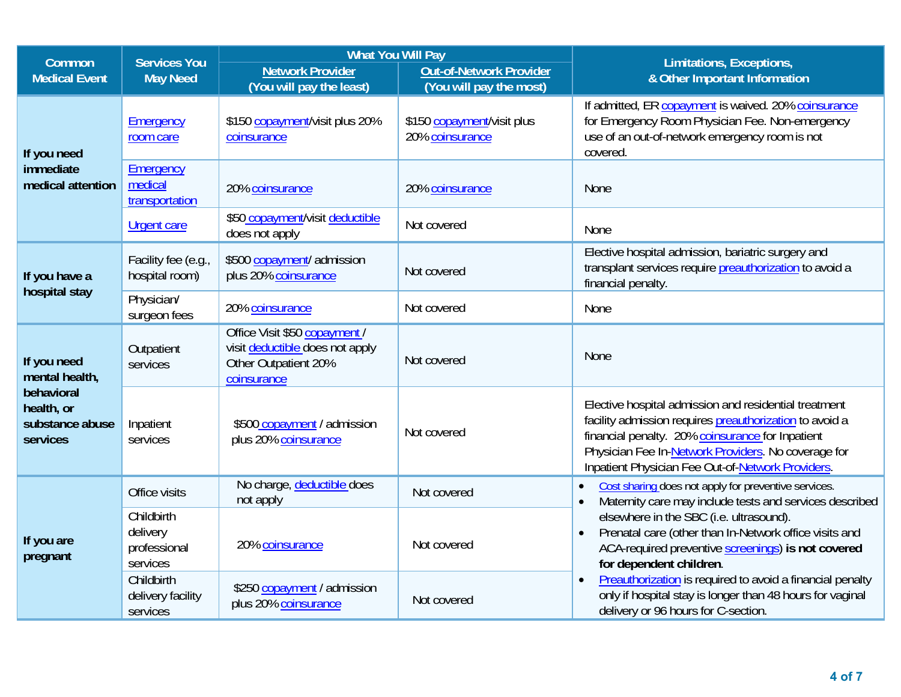| Common                                                  | <b>Services You</b>                                | <b>What You Will Pay</b>                                                                                |                                                    | Limitations, Exceptions,                                                                                                                                                                                                                                                         |  |
|---------------------------------------------------------|----------------------------------------------------|---------------------------------------------------------------------------------------------------------|----------------------------------------------------|----------------------------------------------------------------------------------------------------------------------------------------------------------------------------------------------------------------------------------------------------------------------------------|--|
| <b>Medical Event</b>                                    | <b>May Need</b>                                    | <b>Network Provider</b><br>(You will pay the least)                                                     | Out-of-Network Provider<br>(You will pay the most) | & Other Important Information                                                                                                                                                                                                                                                    |  |
| If you need                                             | Emergency<br>room care                             | \$150 copayment/visit plus 20%<br>coinsurance                                                           | \$150 copayment/visit plus<br>20% coinsurance      | If admitted, ER copayment is waived. 20% coinsurance<br>for Emergency Room Physician Fee. Non-emergency<br>use of an out-of-network emergency room is not<br>covered.                                                                                                            |  |
| immediate<br>medical attention                          | Emergency<br>medical<br>transportation             | 20% coinsurance                                                                                         | 20% coinsurance                                    | <b>None</b>                                                                                                                                                                                                                                                                      |  |
|                                                         | <b>Urgent care</b>                                 | \$50 copayment/visit deductible<br>does not apply                                                       | Not covered                                        | None                                                                                                                                                                                                                                                                             |  |
| If you have a                                           | Facility fee (e.g.,<br>hospital room)              | \$500 copayment/ admission<br>plus 20% coinsurance                                                      | Not covered                                        | Elective hospital admission, bariatric surgery and<br>transplant services require preauthorization to avoid a<br>financial penalty.                                                                                                                                              |  |
| hospital stay                                           | Physician/<br>surgeon fees                         | 20% coinsurance                                                                                         | Not covered                                        | None                                                                                                                                                                                                                                                                             |  |
| If you need<br>mental health,                           | Outpatient<br>services                             | Office Visit \$50 copayment /<br>visit deductible does not apply<br>Other Outpatient 20%<br>coinsurance | Not covered                                        | <b>None</b>                                                                                                                                                                                                                                                                      |  |
| behavioral<br>health, or<br>substance abuse<br>services | Inpatient<br>services                              | \$500 copayment / admission<br>plus 20% coinsurance                                                     | Not covered                                        | Elective hospital admission and residential treatment<br>facility admission requires preauthorization to avoid a<br>financial penalty. 20% coinsurance for Inpatient<br>Physician Fee In-Network Providers. No coverage for<br>Inpatient Physician Fee Out-of-Network Providers. |  |
|                                                         | Office visits                                      | No charge, deductible does<br>not apply                                                                 | Not covered                                        | Cost sharing does not apply for preventive services.<br>Maternity care may include tests and services described                                                                                                                                                                  |  |
| If you are<br>pregnant                                  | Childbirth<br>delivery<br>professional<br>services | 20% coinsurance                                                                                         | Not covered                                        | elsewhere in the SBC (i.e. ultrasound).<br>Prenatal care (other than In-Network office visits and<br>ACA-required preventive screenings) is not covered<br>for dependent children.                                                                                               |  |
|                                                         | Childbirth<br>delivery facility<br>services        | \$250 copayment / admission<br>plus 20% coinsurance                                                     | Not covered                                        | Preauthorization is required to avoid a financial penalty<br>$\bullet$<br>only if hospital stay is longer than 48 hours for vaginal<br>delivery or 96 hours for C-section.                                                                                                       |  |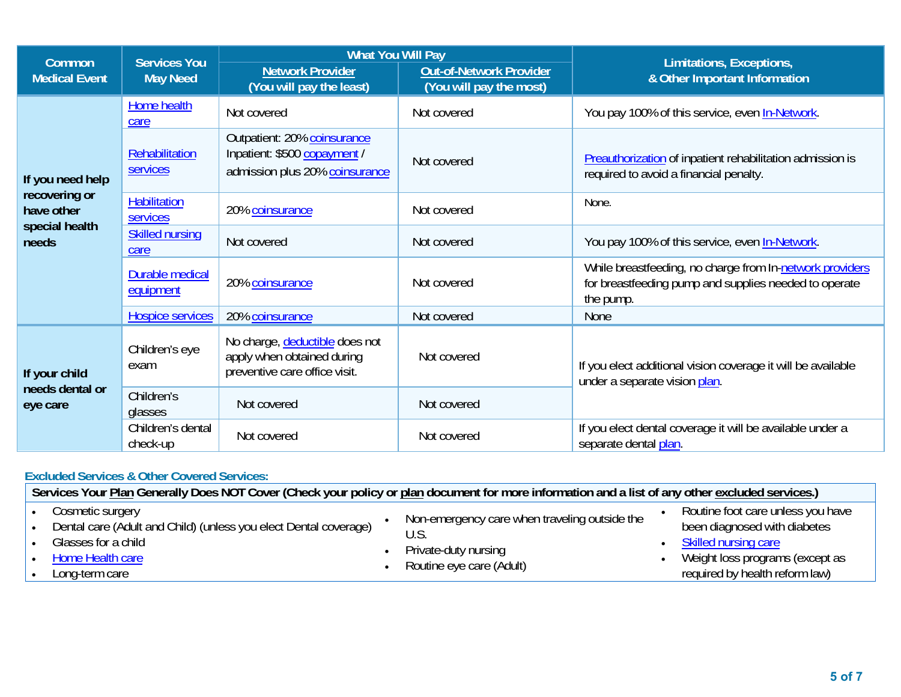| Common                      | <b>Services You</b>                                                                                                     | <b>What You Will Pay</b>                                                                      |                                                           | Limitations, Exceptions,                                                                                                       |  |
|-----------------------------|-------------------------------------------------------------------------------------------------------------------------|-----------------------------------------------------------------------------------------------|-----------------------------------------------------------|--------------------------------------------------------------------------------------------------------------------------------|--|
| <b>Medical Event</b>        | <b>May Need</b>                                                                                                         | <b>Network Provider</b><br>(You will pay the least)                                           | <b>Out-of-Network Provider</b><br>(You will pay the most) | & Other Important Information                                                                                                  |  |
|                             | Home health<br>care                                                                                                     | Not covered                                                                                   | Not covered                                               | You pay 100% of this service, even In-Network.                                                                                 |  |
| If you need help            | Rehabilitation<br>services                                                                                              | Outpatient: 20% coinsurance<br>Inpatient: \$500 copayment /<br>admission plus 20% coinsurance | Not covered                                               | Preauthorization of inpatient rehabilitation admission is<br>required to avoid a financial penalty.                            |  |
| recovering or<br>have other | <b>Habilitation</b><br>services                                                                                         | 20% coinsurance                                                                               | Not covered                                               | None.                                                                                                                          |  |
| special health<br>needs     | <b>Skilled nursing</b><br>care                                                                                          | Not covered                                                                                   | Not covered                                               | You pay 100% of this service, even In-Network.                                                                                 |  |
|                             | Durable medical<br>equipment                                                                                            | 20% coinsurance                                                                               | Not covered                                               | While breastfeeding, no charge from In-network providers<br>for breastfeeding pump and supplies needed to operate<br>the pump. |  |
|                             | <b>Hospice services</b>                                                                                                 | 20% coinsurance                                                                               | Not covered                                               | None                                                                                                                           |  |
| If your child               | No charge, deductible does not<br>Children's eye<br>apply when obtained during<br>exam<br>preventive care office visit. |                                                                                               | Not covered                                               | If you elect additional vision coverage it will be available<br>under a separate vision plan.                                  |  |
| needs dental or<br>eye care | Children's<br>glasses                                                                                                   | Not covered                                                                                   | Not covered                                               |                                                                                                                                |  |
|                             | Children's dental<br>check-up                                                                                           | Not covered                                                                                   | Not covered                                               | If you elect dental coverage it will be available under a<br>separate dental plan.                                             |  |

## **Excluded Services & Other Covered Services:**

| Services Your Plan Generally Does NOT Cover (Check your policy or plan document for more information and a list of any other excluded services.)  |                                                                                                          |                                                                                                                                                                  |  |  |  |
|---------------------------------------------------------------------------------------------------------------------------------------------------|----------------------------------------------------------------------------------------------------------|------------------------------------------------------------------------------------------------------------------------------------------------------------------|--|--|--|
| Cosmetic surgery<br>Dental care (Adult and Child) (unless you elect Dental coverage)<br>Glasses for a child<br>Home Health care<br>Long-term care | Non-emergency care when traveling outside the<br>U.S<br>Private-duty nursing<br>Routine eye care (Adult) | Routine foot care unless you have<br>been diagnosed with diabetes<br>• Skilled nursing care<br>Weight loss programs (except as<br>required by health reform law) |  |  |  |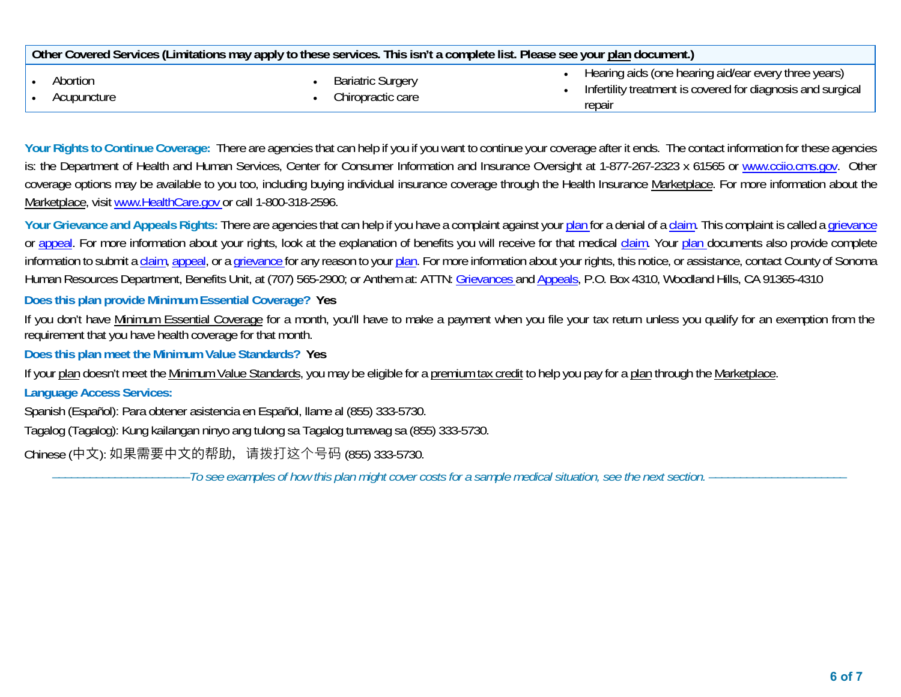| Other Covered Services (Limitations may apply to these services. This isn't a complete list. Please see your plan document.) |  |                                               |  |                                                                                                                               |
|------------------------------------------------------------------------------------------------------------------------------|--|-----------------------------------------------|--|-------------------------------------------------------------------------------------------------------------------------------|
| Abortion<br>Acupuncture                                                                                                      |  | <b>Bariatric Surgery</b><br>Chiropractic care |  | Hearing aids (one hearing aid/ear every three years)<br>Infertility treatment is covered for diagnosis and surgical<br>repair |

Your Rights to Continue Coverage: There are agencies that can help if you if you want to continue your coverage after it ends. The contact information for these agencies is: the Department of Health and Human Services, Center for Consumer Information and Insurance Oversight at 1-877-267-2323 x 61565 or www.cciio.cms.gov. Other coverage options may be available to you too, including buying individual insurance coverage through the Health Insurance Marketplace. For more information about the Marketplace, visit www.HealthCare.gov or call 1-800-318-2596.

Your Grievance and Appeals Rights: There are agencies that can help if you have a complaint against your plan for a denial of a claim. This complaint is called a grievance or appeal. For more information about your rights, look at the explanation of benefits you will receive for that medical claim. Your plan documents also provide complete information to submit a claim, appeal, or a grievance for any reason to your plan. For more information about your rights, this notice, or assistance, contact County of Sonoma Human Resources Department, Benefits Unit, at (707) 565-2900; or Anthem at: ATTN: Grievances and Appeals, P.O. Box 4310, Woodland Hills, CA 91365-4310

**Does this plan provide Minimum Essential Coverage? Yes** 

If you don't have Minimum Essential Coverage for a month, you'll have to make a payment when you file your tax return unless you qualify for an exemption from the requirement that you have health coverage for that month.

**Does this plan meet the Minimum Value Standards? Yes** 

If your plan doesn't meet the Minimum Value Standards, you may be eligible for a premium tax credit to help you pay for a plan through the Marketplace.

**Language Access Services:** 

Spanish (Español): Para obtener asistencia en Español, llame al (855) 333-5730.

Tagalog (Tagalog): Kung kailangan ninyo ang tulong sa Tagalog tumawag sa (855) 333-5730.

Chinese (中⽂): 如果需要中⽂的帮助,请拨打这个号码 (855) 333-5730.

––––––––––––––––––––––*To see examples of how this plan might cover costs for a sample medical situation, see the next section.* ––––––––––––––––––––––